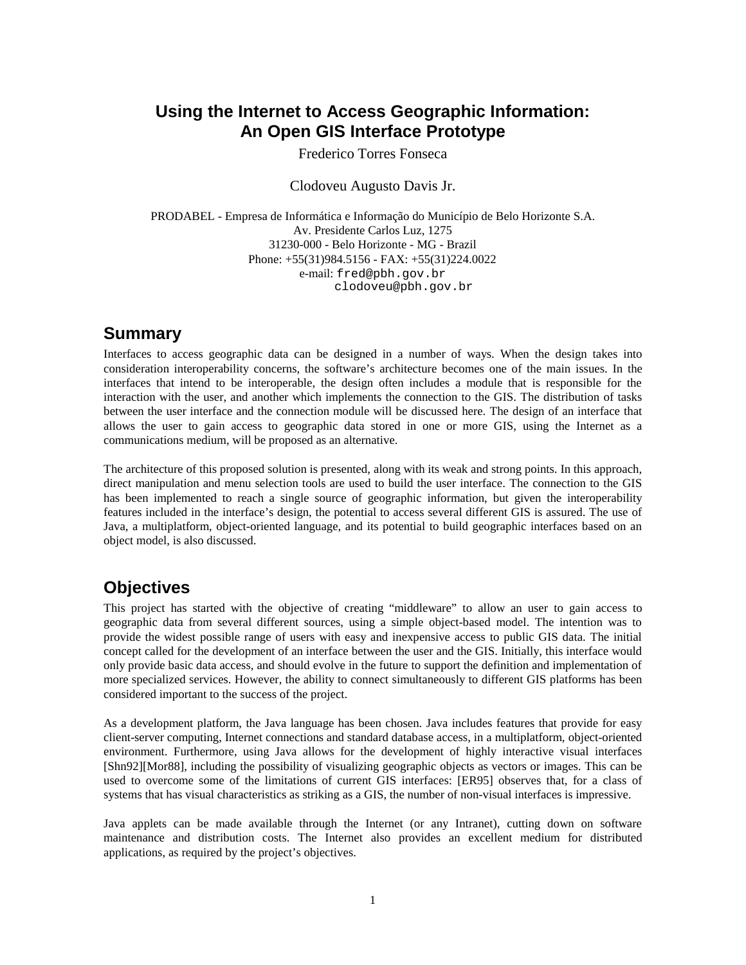### **Using the Internet to Access Geographic Information: An Open GIS Interface Prototype**

Frederico Torres Fonseca

Clodoveu Augusto Davis Jr.

PRODABEL - Empresa de Informática e Informação do Município de Belo Horizonte S.A. Av. Presidente Carlos Luz, 1275 31230-000 - Belo Horizonte - MG - Brazil Phone: +55(31)984.5156 - FAX: +55(31)224.0022 e-mail: fred@pbh.gov.br clodoveu@pbh.gov.br

### **Summary**

Interfaces to access geographic data can be designed in a number of ways. When the design takes into consideration interoperability concerns, the software's architecture becomes one of the main issues. In the interfaces that intend to be interoperable, the design often includes a module that is responsible for the interaction with the user, and another which implements the connection to the GIS. The distribution of tasks between the user interface and the connection module will be discussed here. The design of an interface that allows the user to gain access to geographic data stored in one or more GIS, using the Internet as a communications medium, will be proposed as an alternative.

The architecture of this proposed solution is presented, along with its weak and strong points. In this approach, direct manipulation and menu selection tools are used to build the user interface. The connection to the GIS has been implemented to reach a single source of geographic information, but given the interoperability features included in the interface's design, the potential to access several different GIS is assured. The use of Java, a multiplatform, object-oriented language, and its potential to build geographic interfaces based on an object model, is also discussed.

# **Objectives**

This project has started with the objective of creating "middleware" to allow an user to gain access to geographic data from several different sources, using a simple object-based model. The intention was to provide the widest possible range of users with easy and inexpensive access to public GIS data. The initial concept called for the development of an interface between the user and the GIS. Initially, this interface would only provide basic data access, and should evolve in the future to support the definition and implementation of more specialized services. However, the ability to connect simultaneously to different GIS platforms has been considered important to the success of the project.

As a development platform, the Java language has been chosen. Java includes features that provide for easy client-server computing, Internet connections and standard database access, in a multiplatform, object-oriented environment. Furthermore, using Java allows for the development of highly interactive visual interfaces [Shn92][Mor88], including the possibility of visualizing geographic objects as vectors or images. This can be used to overcome some of the limitations of current GIS interfaces: [ER95] observes that, for a class of systems that has visual characteristics as striking as a GIS, the number of non-visual interfaces is impressive.

Java applets can be made available through the Internet (or any Intranet), cutting down on software maintenance and distribution costs. The Internet also provides an excellent medium for distributed applications, as required by the project's objectives.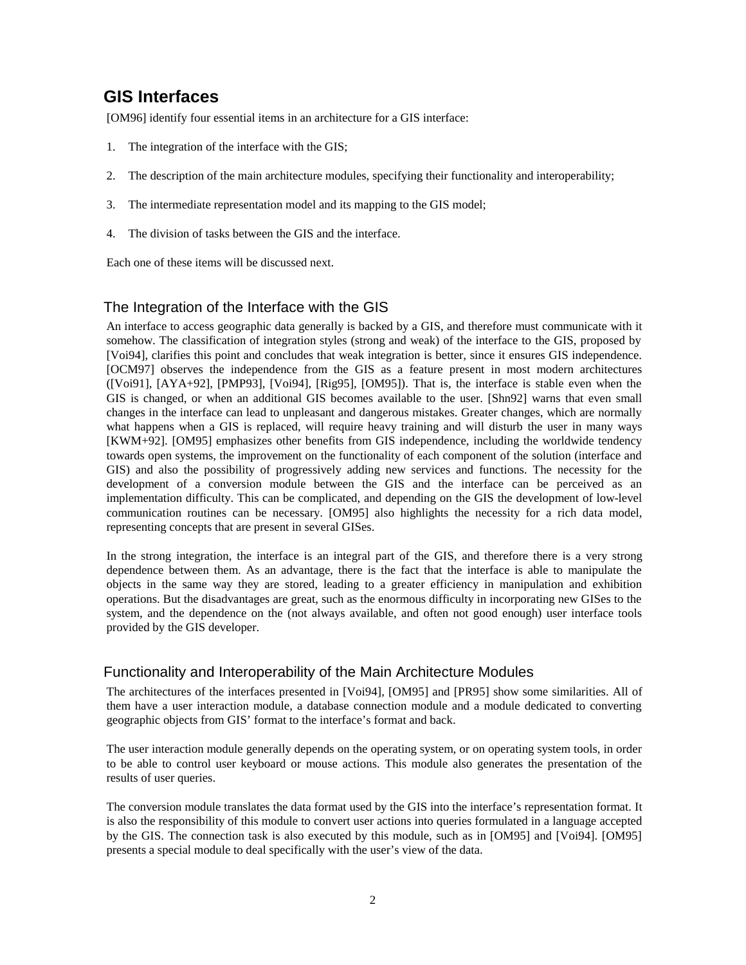# **GIS Interfaces**

[OM96] identify four essential items in an architecture for a GIS interface:

- 1. The integration of the interface with the GIS;
- 2. The description of the main architecture modules, specifying their functionality and interoperability;
- 3. The intermediate representation model and its mapping to the GIS model;
- 4. The division of tasks between the GIS and the interface.

Each one of these items will be discussed next.

### The Integration of the Interface with the GIS

An interface to access geographic data generally is backed by a GIS, and therefore must communicate with it somehow. The classification of integration styles (strong and weak) of the interface to the GIS, proposed by [Voi94], clarifies this point and concludes that weak integration is better, since it ensures GIS independence. [OCM97] observes the independence from the GIS as a feature present in most modern architectures ([Voi91], [AYA+92], [PMP93], [Voi94], [Rig95], [OM95]). That is, the interface is stable even when the GIS is changed, or when an additional GIS becomes available to the user. [Shn92] warns that even small changes in the interface can lead to unpleasant and dangerous mistakes. Greater changes, which are normally what happens when a GIS is replaced, will require heavy training and will disturb the user in many ways [KWM+92]. [OM95] emphasizes other benefits from GIS independence, including the worldwide tendency towards open systems, the improvement on the functionality of each component of the solution (interface and GIS) and also the possibility of progressively adding new services and functions. The necessity for the development of a conversion module between the GIS and the interface can be perceived as an implementation difficulty. This can be complicated, and depending on the GIS the development of low-level communication routines can be necessary. [OM95] also highlights the necessity for a rich data model, representing concepts that are present in several GISes.

In the strong integration, the interface is an integral part of the GIS, and therefore there is a very strong dependence between them. As an advantage, there is the fact that the interface is able to manipulate the objects in the same way they are stored, leading to a greater efficiency in manipulation and exhibition operations. But the disadvantages are great, such as the enormous difficulty in incorporating new GISes to the system, and the dependence on the (not always available, and often not good enough) user interface tools provided by the GIS developer.

### Functionality and Interoperability of the Main Architecture Modules

The architectures of the interfaces presented in [Voi94], [OM95] and [PR95] show some similarities. All of them have a user interaction module, a database connection module and a module dedicated to converting geographic objects from GIS' format to the interface's format and back.

The user interaction module generally depends on the operating system, or on operating system tools, in order to be able to control user keyboard or mouse actions. This module also generates the presentation of the results of user queries.

The conversion module translates the data format used by the GIS into the interface's representation format. It is also the responsibility of this module to convert user actions into queries formulated in a language accepted by the GIS. The connection task is also executed by this module, such as in [OM95] and [Voi94]. [OM95] presents a special module to deal specifically with the user's view of the data.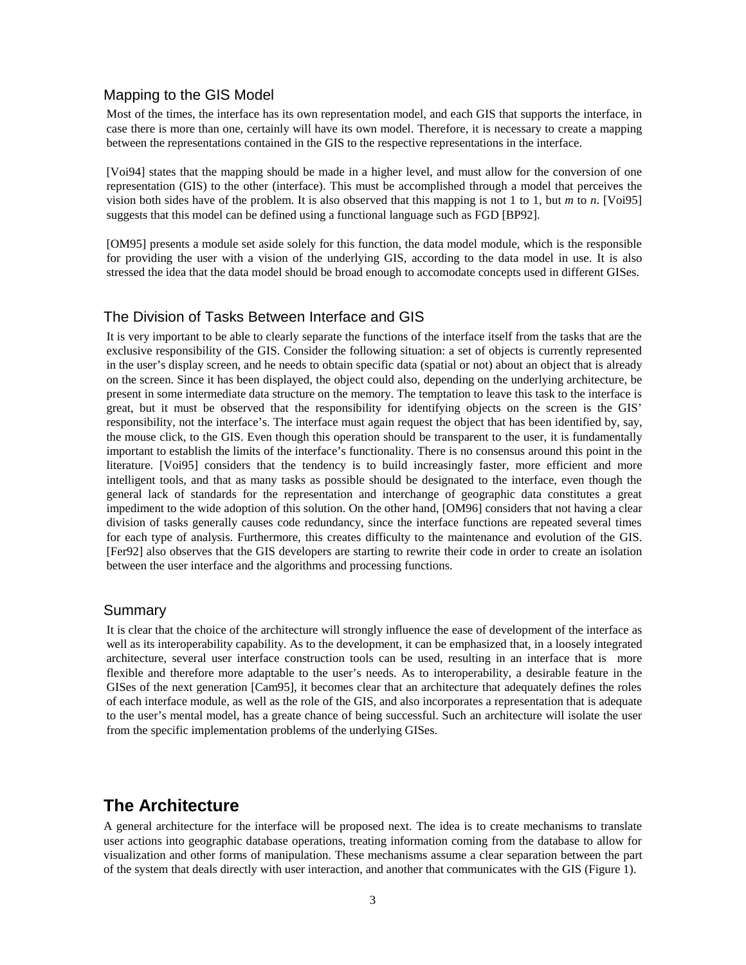#### Mapping to the GIS Model

Most of the times, the interface has its own representation model, and each GIS that supports the interface, in case there is more than one, certainly will have its own model. Therefore, it is necessary to create a mapping between the representations contained in the GIS to the respective representations in the interface.

[Voi94] states that the mapping should be made in a higher level, and must allow for the conversion of one representation (GIS) to the other (interface). This must be accomplished through a model that perceives the vision both sides have of the problem. It is also observed that this mapping is not 1 to 1, but *m* to *n*. [Voi95] suggests that this model can be defined using a functional language such as FGD [BP92].

[OM95] presents a module set aside solely for this function, the data model module, which is the responsible for providing the user with a vision of the underlying GIS, according to the data model in use. It is also stressed the idea that the data model should be broad enough to accomodate concepts used in different GISes.

#### The Division of Tasks Between Interface and GIS

It is very important to be able to clearly separate the functions of the interface itself from the tasks that are the exclusive responsibility of the GIS. Consider the following situation: a set of objects is currently represented in the user's display screen, and he needs to obtain specific data (spatial or not) about an object that is already on the screen. Since it has been displayed, the object could also, depending on the underlying architecture, be present in some intermediate data structure on the memory. The temptation to leave this task to the interface is great, but it must be observed that the responsibility for identifying objects on the screen is the GIS' responsibility, not the interface's. The interface must again request the object that has been identified by, say, the mouse click, to the GIS. Even though this operation should be transparent to the user, it is fundamentally important to establish the limits of the interface's functionality. There is no consensus around this point in the literature. [Voi95] considers that the tendency is to build increasingly faster, more efficient and more intelligent tools, and that as many tasks as possible should be designated to the interface, even though the general lack of standards for the representation and interchange of geographic data constitutes a great impediment to the wide adoption of this solution. On the other hand, [OM96] considers that not having a clear division of tasks generally causes code redundancy, since the interface functions are repeated several times for each type of analysis. Furthermore, this creates difficulty to the maintenance and evolution of the GIS. [Fer92] also observes that the GIS developers are starting to rewrite their code in order to create an isolation between the user interface and the algorithms and processing functions.

#### Summary

It is clear that the choice of the architecture will strongly influence the ease of development of the interface as well as its interoperability capability. As to the development, it can be emphasized that, in a loosely integrated architecture, several user interface construction tools can be used, resulting in an interface that is more flexible and therefore more adaptable to the user's needs. As to interoperability, a desirable feature in the GISes of the next generation [Cam95], it becomes clear that an architecture that adequately defines the roles of each interface module, as well as the role of the GIS, and also incorporates a representation that is adequate to the user's mental model, has a greate chance of being successful. Such an architecture will isolate the user from the specific implementation problems of the underlying GISes.

### **The Architecture**

A general architecture for the interface will be proposed next. The idea is to create mechanisms to translate user actions into geographic database operations, treating information coming from the database to allow for visualization and other forms of manipulation. These mechanisms assume a clear separation between the part of the system that deals directly with user interaction, and another that communicates with the GIS (Figure 1).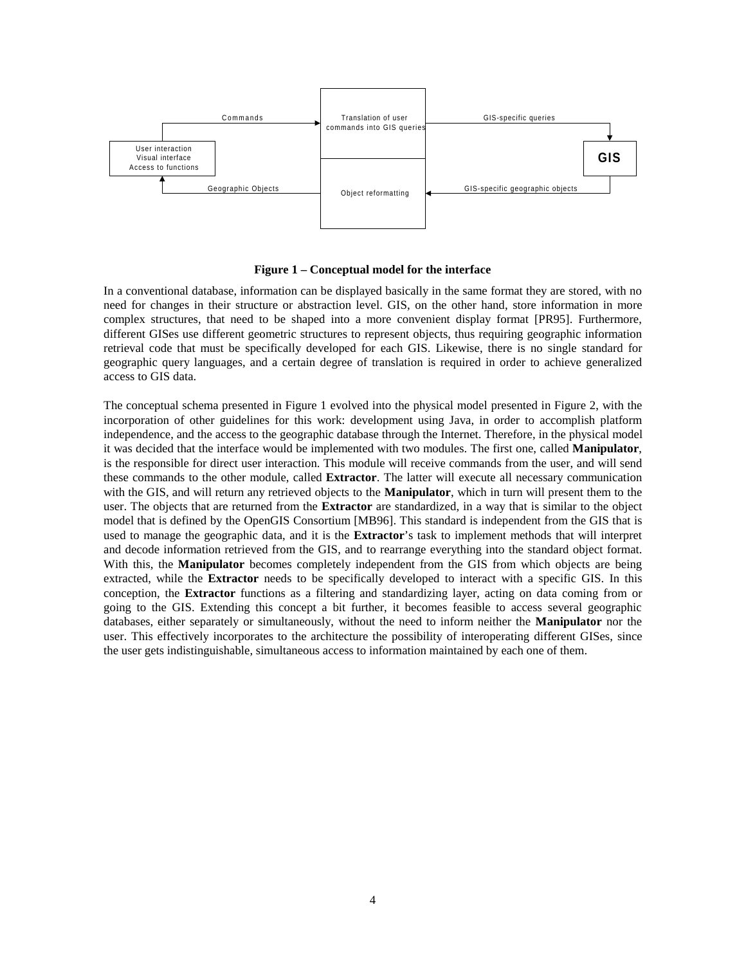

**Figure 1 – Conceptual model for the interface**

In a conventional database, information can be displayed basically in the same format they are stored, with no need for changes in their structure or abstraction level. GIS, on the other hand, store information in more complex structures, that need to be shaped into a more convenient display format [PR95]. Furthermore, different GISes use different geometric structures to represent objects, thus requiring geographic information retrieval code that must be specifically developed for each GIS. Likewise, there is no single standard for geographic query languages, and a certain degree of translation is required in order to achieve generalized access to GIS data.

The conceptual schema presented in Figure 1 evolved into the physical model presented in Figure 2, with the incorporation of other guidelines for this work: development using Java, in order to accomplish platform independence, and the access to the geographic database through the Internet. Therefore, in the physical model it was decided that the interface would be implemented with two modules. The first one, called **Manipulator**, is the responsible for direct user interaction. This module will receive commands from the user, and will send these commands to the other module, called **Extractor**. The latter will execute all necessary communication with the GIS, and will return any retrieved objects to the **Manipulator**, which in turn will present them to the user. The objects that are returned from the **Extractor** are standardized, in a way that is similar to the object model that is defined by the OpenGIS Consortium [MB96]. This standard is independent from the GIS that is used to manage the geographic data, and it is the **Extractor**'s task to implement methods that will interpret and decode information retrieved from the GIS, and to rearrange everything into the standard object format. With this, the **Manipulator** becomes completely independent from the GIS from which objects are being extracted, while the **Extractor** needs to be specifically developed to interact with a specific GIS. In this conception, the **Extractor** functions as a filtering and standardizing layer, acting on data coming from or going to the GIS. Extending this concept a bit further, it becomes feasible to access several geographic databases, either separately or simultaneously, without the need to inform neither the **Manipulator** nor the user. This effectively incorporates to the architecture the possibility of interoperating different GISes, since the user gets indistinguishable, simultaneous access to information maintained by each one of them.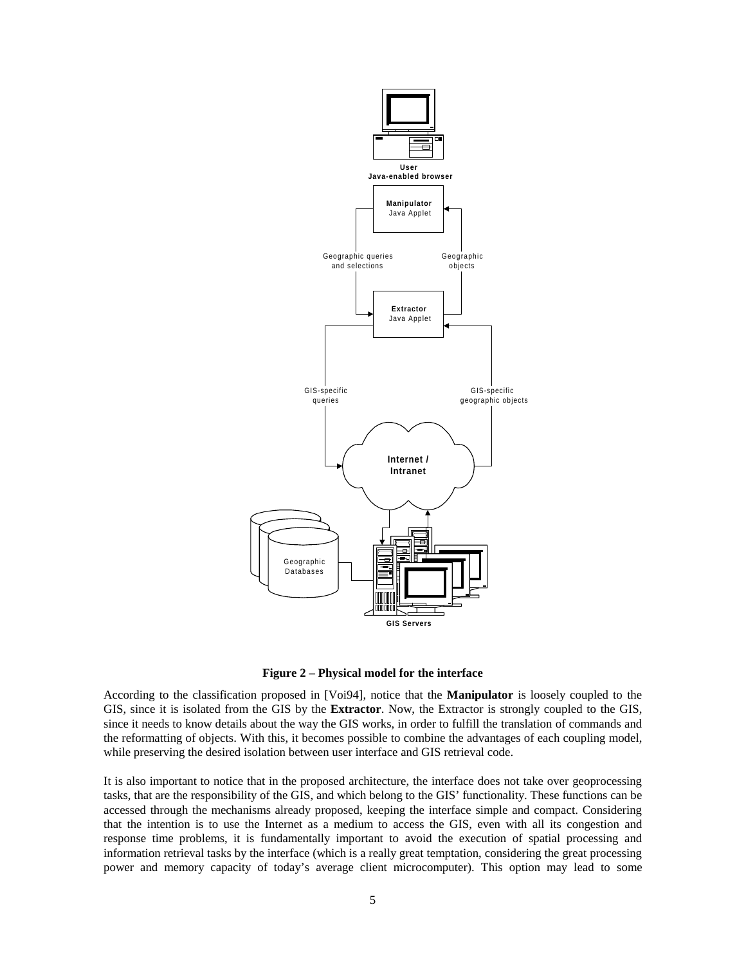

**Figure 2 – Physical model for the interface**

According to the classification proposed in [Voi94], notice that the **Manipulator** is loosely coupled to the GIS, since it is isolated from the GIS by the **Extractor**. Now, the Extractor is strongly coupled to the GIS, since it needs to know details about the way the GIS works, in order to fulfill the translation of commands and the reformatting of objects. With this, it becomes possible to combine the advantages of each coupling model, while preserving the desired isolation between user interface and GIS retrieval code.

It is also important to notice that in the proposed architecture, the interface does not take over geoprocessing tasks, that are the responsibility of the GIS, and which belong to the GIS' functionality. These functions can be accessed through the mechanisms already proposed, keeping the interface simple and compact. Considering that the intention is to use the Internet as a medium to access the GIS, even with all its congestion and response time problems, it is fundamentally important to avoid the execution of spatial processing and information retrieval tasks by the interface (which is a really great temptation, considering the great processing power and memory capacity of today's average client microcomputer). This option may lead to some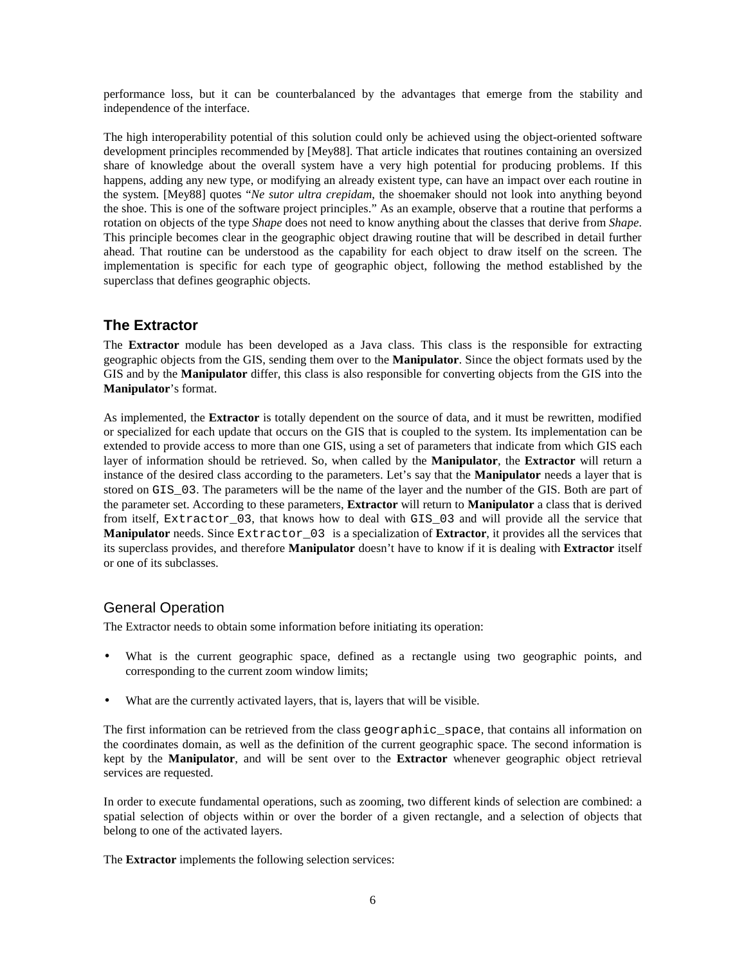performance loss, but it can be counterbalanced by the advantages that emerge from the stability and independence of the interface.

The high interoperability potential of this solution could only be achieved using the object-oriented software development principles recommended by [Mey88]. That article indicates that routines containing an oversized share of knowledge about the overall system have a very high potential for producing problems. If this happens, adding any new type, or modifying an already existent type, can have an impact over each routine in the system. [Mey88] quotes "*Ne sutor ultra crepidam*, the shoemaker should not look into anything beyond the shoe. This is one of the software project principles." As an example, observe that a routine that performs a rotation on objects of the type *Shape* does not need to know anything about the classes that derive from *Shape*. This principle becomes clear in the geographic object drawing routine that will be described in detail further ahead. That routine can be understood as the capability for each object to draw itself on the screen. The implementation is specific for each type of geographic object, following the method established by the superclass that defines geographic objects.

#### **The Extractor**

The **Extractor** module has been developed as a Java class. This class is the responsible for extracting geographic objects from the GIS, sending them over to the **Manipulator**. Since the object formats used by the GIS and by the **Manipulator** differ, this class is also responsible for converting objects from the GIS into the **Manipulator**'s format.

As implemented, the **Extractor** is totally dependent on the source of data, and it must be rewritten, modified or specialized for each update that occurs on the GIS that is coupled to the system. Its implementation can be extended to provide access to more than one GIS, using a set of parameters that indicate from which GIS each layer of information should be retrieved. So, when called by the **Manipulator**, the **Extractor** will return a instance of the desired class according to the parameters. Let's say that the **Manipulator** needs a layer that is stored on GIS\_03. The parameters will be the name of the layer and the number of the GIS. Both are part of the parameter set. According to these parameters, **Extractor** will return to **Manipulator** a class that is derived from itself, Extractor 03, that knows how to deal with GIS 03 and will provide all the service that **Manipulator** needs. Since Extractor 03 is a specialization of **Extractor**, it provides all the services that its superclass provides, and therefore **Manipulator** doesn't have to know if it is dealing with **Extractor** itself or one of its subclasses.

### General Operation

The Extractor needs to obtain some information before initiating its operation:

- What is the current geographic space, defined as a rectangle using two geographic points, and corresponding to the current zoom window limits;
- What are the currently activated layers, that is, layers that will be visible.

The first information can be retrieved from the class geographic\_space, that contains all information on the coordinates domain, as well as the definition of the current geographic space. The second information is kept by the **Manipulator**, and will be sent over to the **Extractor** whenever geographic object retrieval services are requested.

 In order to execute fundamental operations, such as zooming, two different kinds of selection are combined: a spatial selection of objects within or over the border of a given rectangle, and a selection of objects that belong to one of the activated layers.

The **Extractor** implements the following selection services: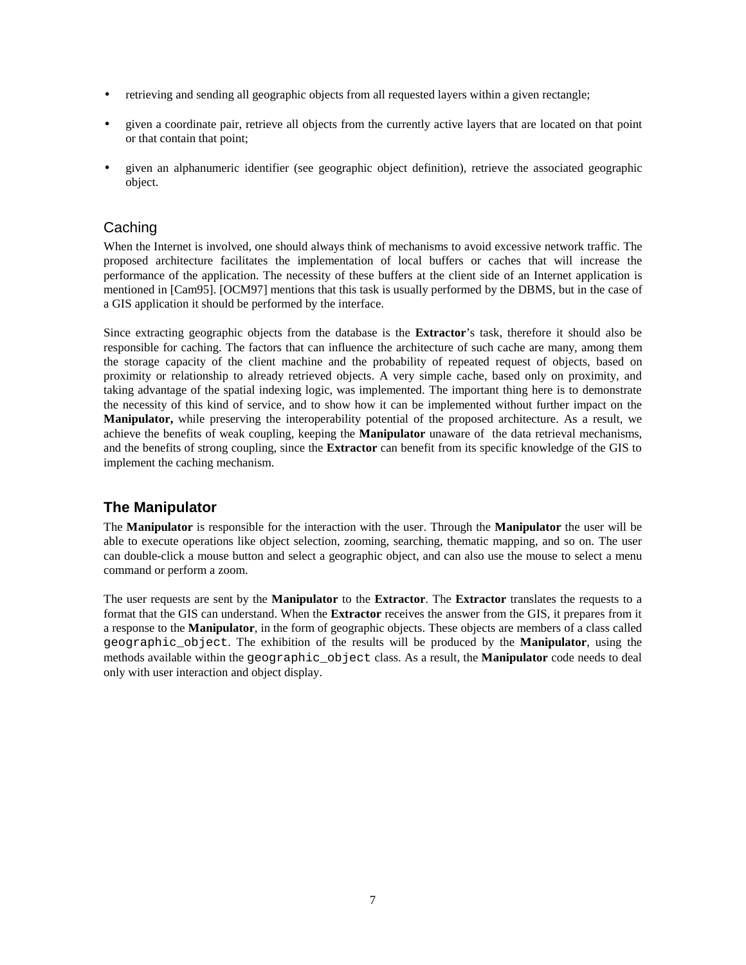- retrieving and sending all geographic objects from all requested layers within a given rectangle;
- given a coordinate pair, retrieve all objects from the currently active layers that are located on that point or that contain that point;
- given an alphanumeric identifier (see geographic object definition), retrieve the associated geographic object.

#### **Caching**

 When the Internet is involved, one should always think of mechanisms to avoid excessive network traffic. The proposed architecture facilitates the implementation of local buffers or caches that will increase the performance of the application. The necessity of these buffers at the client side of an Internet application is mentioned in [Cam95]. [OCM97] mentions that this task is usually performed by the DBMS, but in the case of a GIS application it should be performed by the interface.

 Since extracting geographic objects from the database is the **Extractor**'s task, therefore it should also be responsible for caching. The factors that can influence the architecture of such cache are many, among them the storage capacity of the client machine and the probability of repeated request of objects, based on proximity or relationship to already retrieved objects. A very simple cache, based only on proximity, and taking advantage of the spatial indexing logic, was implemented. The important thing here is to demonstrate the necessity of this kind of service, and to show how it can be implemented without further impact on the **Manipulator,** while preserving the interoperability potential of the proposed architecture. As a result, we achieve the benefits of weak coupling, keeping the **Manipulator** unaware of the data retrieval mechanisms, and the benefits of strong coupling, since the **Extractor** can benefit from its specific knowledge of the GIS to implement the caching mechanism.

### **The Manipulator**

 The **Manipulator** is responsible for the interaction with the user. Through the **Manipulator** the user will be able to execute operations like object selection, zooming, searching, thematic mapping, and so on. The user can double-click a mouse button and select a geographic object, and can also use the mouse to select a menu command or perform a zoom.

 The user requests are sent by the **Manipulator** to the **Extractor**. The **Extractor** translates the requests to a format that the GIS can understand. When the **Extractor** receives the answer from the GIS, it prepares from it a response to the **Manipulator**, in the form of geographic objects. These objects are members of a class called geographic\_object. The exhibition of the results will be produced by the **Manipulator**, using the methods available within the geographic\_object class. As a result, the **Manipulator** code needs to deal only with user interaction and object display.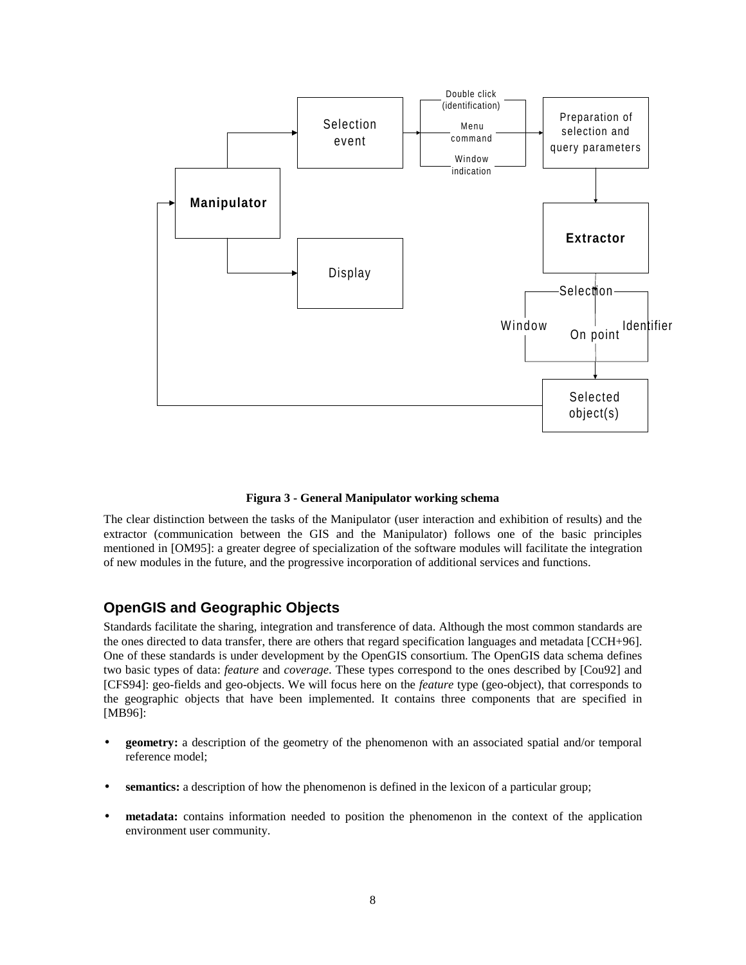

 **Figura 3 - General Manipulator working schema**

 The clear distinction between the tasks of the Manipulator (user interaction and exhibition of results) and the extractor (communication between the GIS and the Manipulator) follows one of the basic principles mentioned in [OM95]: a greater degree of specialization of the software modules will facilitate the integration of new modules in the future, and the progressive incorporation of additional services and functions.

### **OpenGIS and Geographic Objects**

 Standards facilitate the sharing, integration and transference of data. Although the most common standards are the ones directed to data transfer, there are others that regard specification languages and metadata [CCH+96]. One of these standards is under development by the OpenGIS consortium. The OpenGIS data schema defines two basic types of data: *feature* and *coverage*. These types correspond to the ones described by [Cou92] and [CFS94]: geo-fields and geo-objects. We will focus here on the *feature* type (geo-object), that corresponds to the geographic objects that have been implemented. It contains three components that are specified in [MB96]:

- **geometry:** a description of the geometry of the phenomenon with an associated spatial and/or temporal reference model;
- **semantics:** a description of how the phenomenon is defined in the lexicon of a particular group;
- **metadata:** contains information needed to position the phenomenon in the context of the application environment user community.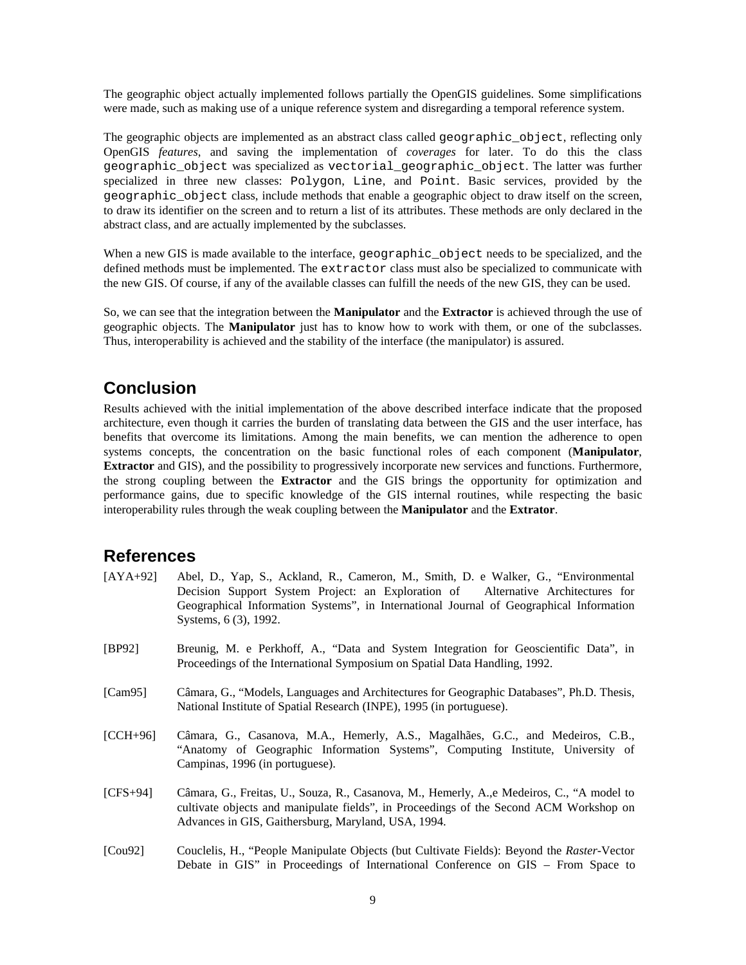The geographic object actually implemented follows partially the OpenGIS guidelines. Some simplifications were made, such as making use of a unique reference system and disregarding a temporal reference system.

The geographic objects are implemented as an abstract class called geographic object, reflecting only OpenGIS *features*, and saving the implementation of *coverages* for later. To do this the class geographic\_object was specialized as vectorial\_geographic\_object. The latter was further specialized in three new classes: Polygon, Line, and Point. Basic services, provided by the geographic\_object class, include methods that enable a geographic object to draw itself on the screen, to draw its identifier on the screen and to return a list of its attributes. These methods are only declared in the abstract class, and are actually implemented by the subclasses.

When a new GIS is made available to the interface, geographic\_object needs to be specialized, and the defined methods must be implemented. The extractor class must also be specialized to communicate with the new GIS. Of course, if any of the available classes can fulfill the needs of the new GIS, they can be used.

So, we can see that the integration between the **Manipulator** and the **Extractor** is achieved through the use of geographic objects. The **Manipulator** just has to know how to work with them, or one of the subclasses. Thus, interoperability is achieved and the stability of the interface (the manipulator) is assured.

# **Conclusion**

Results achieved with the initial implementation of the above described interface indicate that the proposed architecture, even though it carries the burden of translating data between the GIS and the user interface, has benefits that overcome its limitations. Among the main benefits, we can mention the adherence to open systems concepts, the concentration on the basic functional roles of each component (**Manipulator**, **Extractor** and GIS), and the possibility to progressively incorporate new services and functions. Furthermore, the strong coupling between the **Extractor** and the GIS brings the opportunity for optimization and performance gains, due to specific knowledge of the GIS internal routines, while respecting the basic interoperability rules through the weak coupling between the **Manipulator** and the **Extrator**.

### **References**

- [AYA+92] Abel, D., Yap, S., Ackland, R., Cameron, M., Smith, D. e Walker, G., "Environmental Decision Support System Project: an Exploration of Alternative Architectures for Geographical Information Systems", in International Journal of Geographical Information Systems, 6 (3), 1992.
- [BP92] Breunig, M. e Perkhoff, A., "Data and System Integration for Geoscientific Data", in Proceedings of the International Symposium on Spatial Data Handling, 1992.
- [Cam95] Câmara, G., "Models, Languages and Architectures for Geographic Databases", Ph.D. Thesis, National Institute of Spatial Research (INPE), 1995 (in portuguese).
- [CCH+96] Câmara, G., Casanova, M.A., Hemerly, A.S., Magalhães, G.C., and Medeiros, C.B., "Anatomy of Geographic Information Systems", Computing Institute, University of Campinas, 1996 (in portuguese).
- [CFS+94] Câmara, G., Freitas, U., Souza, R., Casanova, M., Hemerly, A.,e Medeiros, C., "A model to cultivate objects and manipulate fields", in Proceedings of the Second ACM Workshop on Advances in GIS, Gaithersburg, Maryland, USA, 1994.
- [Cou92] Couclelis, H., "People Manipulate Objects (but Cultivate Fields): Beyond the *Raster*-Vector Debate in GIS" in Proceedings of International Conference on GIS – From Space to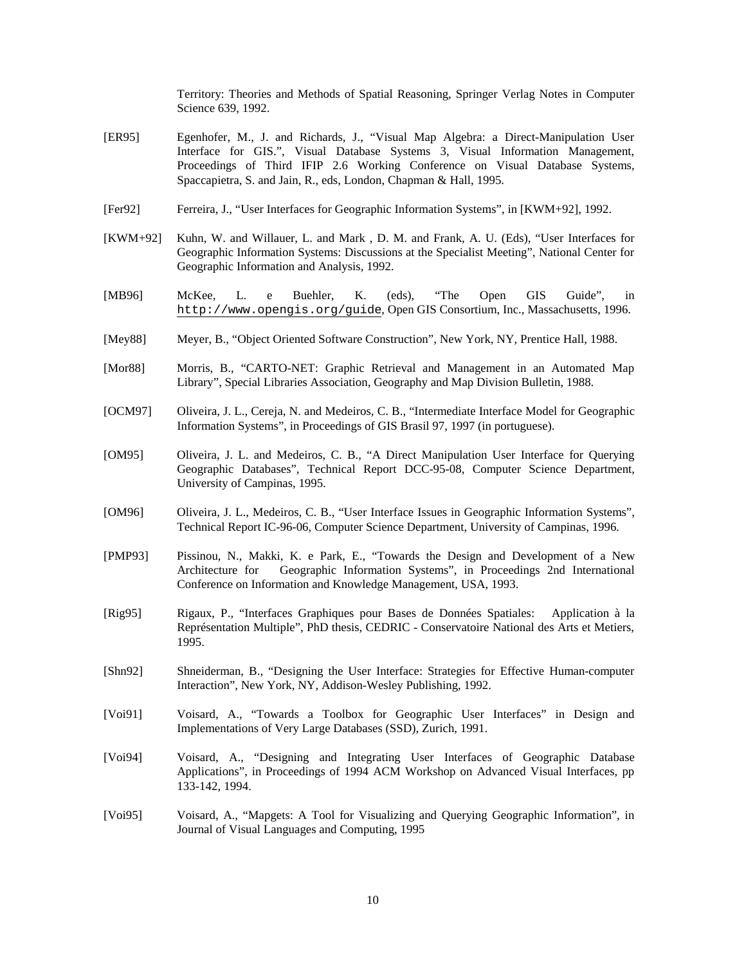Territory: Theories and Methods of Spatial Reasoning, Springer Verlag Notes in Computer Science 639, 1992.

- [ER95] Egenhofer, M., J. and Richards, J., "Visual Map Algebra: a Direct-Manipulation User Interface for GIS.", Visual Database Systems 3, Visual Information Management, Proceedings of Third IFIP 2.6 Working Conference on Visual Database Systems, Spaccapietra, S. and Jain, R., eds, London, Chapman & Hall, 1995.
- [Fer92] Ferreira, J., "User Interfaces for Geographic Information Systems", in [KWM+92], 1992.
- [KWM+92] Kuhn, W. and Willauer, L. and Mark , D. M. and Frank, A. U. (Eds), "User Interfaces for Geographic Information Systems: Discussions at the Specialist Meeting", National Center for Geographic Information and Analysis, 1992.
- [MB96] McKee, L. e Buehler, K. (eds), "The Open GIS Guide", in http://www.opengis.org/guide, Open GIS Consortium, Inc., Massachusetts, 1996.
- [Mey88] Meyer, B., "Object Oriented Software Construction", New York, NY, Prentice Hall, 1988.
- [Mor88] Morris, B., "CARTO-NET: Graphic Retrieval and Management in an Automated Map Library", Special Libraries Association, Geography and Map Division Bulletin, 1988.
- [OCM97] Oliveira, J. L., Cereja, N. and Medeiros, C. B., "Intermediate Interface Model for Geographic Information Systems", in Proceedings of GIS Brasil 97, 1997 (in portuguese).
- [OM95] Oliveira, J. L. and Medeiros, C. B., "A Direct Manipulation User Interface for Querying Geographic Databases", Technical Report DCC-95-08, Computer Science Department, University of Campinas, 1995.
- [OM96] Oliveira, J. L., Medeiros, C. B., "User Interface Issues in Geographic Information Systems", Technical Report IC-96-06, Computer Science Department, University of Campinas, 1996.
- [PMP93] Pissinou, N., Makki, K. e Park, E., "Towards the Design and Development of a New Architecture for Geographic Information Systems", in Proceedings 2nd International Conference on Information and Knowledge Management, USA, 1993.
- [Rig95] Rigaux, P., "Interfaces Graphiques pour Bases de Données Spatiales: Application à la Représentation Multiple", PhD thesis, CEDRIC - Conservatoire National des Arts et Metiers, 1995.
- [Shn92] Shneiderman, B., "Designing the User Interface: Strategies for Effective Human-computer Interaction", New York, NY, Addison-Wesley Publishing, 1992.
- [Voi91] Voisard, A., "Towards a Toolbox for Geographic User Interfaces" in Design and Implementations of Very Large Databases (SSD), Zurich, 1991.
- [Voi94] Voisard, A., "Designing and Integrating User Interfaces of Geographic Database Applications", in Proceedings of 1994 ACM Workshop on Advanced Visual Interfaces, pp 133-142, 1994.
- [Voi95] Voisard, A., "Mapgets: A Tool for Visualizing and Querying Geographic Information", in Journal of Visual Languages and Computing, 1995